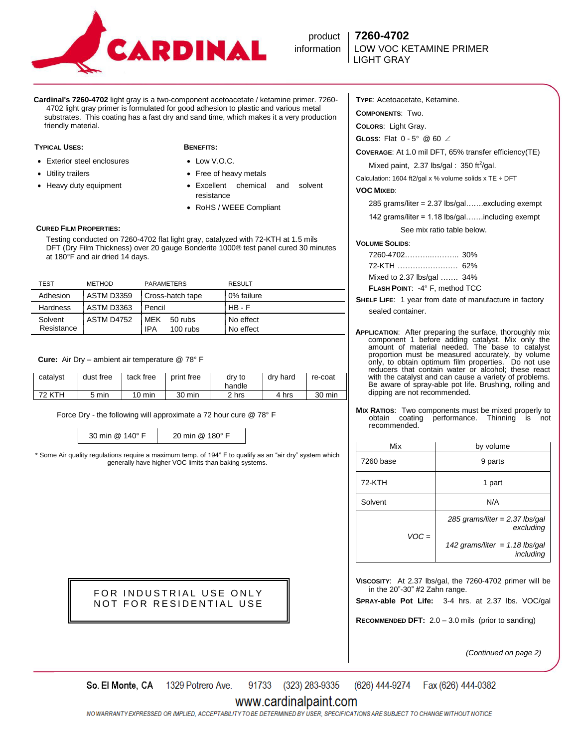

product **7260-4702 information | LOW VOC KETAMINE PRIMER** 

**Cardinal's 7260-4702** light gray is a two-component acetoacetate / ketamine primer. 7260- 4702 light gray primer is formulated for good adhesion to plastic and various metal substrates. This coating has a fast dry and sand time, which makes it a very production friendly material.

### **TYPICAL USES: BENEFITS:**

- Exterior steel enclosures
- Utility trailers
- Heavy duty equipment

- Low V.O.C.
- Free of heavy metals
- Excellent chemical and solvent resistance
- RoHS / WEEE Compliant

# **CURED FILM PROPERTIES:**

 Testing conducted on 7260-4702 flat light gray, catalyzed with 72-KTH at 1.5 mils DFT (Dry Film Thickness) over 20 gauge Bonderite 1000® test panel cured 30 minutes at 180°F and air dried 14 days.

| <u>TEST</u>           | <b>METHOD</b>     | PARAMETERS                           | <b>RESULT</b>          |
|-----------------------|-------------------|--------------------------------------|------------------------|
| Adhesion              | <b>ASTM D3359</b> | Cross-hatch tape                     | 0% failure             |
| Hardness              | ASTM D3363        | Pencil                               | $HB - F$               |
| Solvent<br>Resistance | ASTM D4752        | IMFK<br>50 rubs<br>IPA<br>$100$ rubs | No effect<br>No effect |

 **Cure:** Air Dry – ambient air temperature @ 78° F

| catalvst | dust free | tack free | print free | dry to<br>handle | drv hard | re-coat |
|----------|-----------|-----------|------------|------------------|----------|---------|
| 72 KTH   | 5 min     | 10 min    | 30 min     | 2 hrs            | 4 hrs    | 30 min  |

Force Dry - the following will approximate a 72 hour cure @ 78° F

30 min @ 140° F 20 min @ 180° F

\* Some Air quality regulations require a maximum temp. of 194° F to qualify as an "air dry" system which generally have higher VOC limits than baking systems.

> FOR INDUSTRIAL USE ONLY NOT FOR RESIDENTIAL USE

**TYPE**: Acetoacetate, Ketamine.

**COMPONENTS**: Two.

**COLORS**: Light Gray.

**GLOSS:** Flat  $0 - 5^{\circ}$  @ 60  $\angle$ 

**COVERAGE**: At 1.0 mil DFT, 65% transfer efficiency(TE)

Mixed paint, 2.37 lbs/gal:  $350$  ft<sup>2</sup>/gal.

Calculation: 1604 ft2/gal x % volume solids x TE  $\div$  DFT

# **VOC MIXED**:

|  |  | 285 grams/liter = 2.37 lbs/gal…….excluding exempt |  |
|--|--|---------------------------------------------------|--|
|  |  |                                                   |  |

142 grams/liter = 1.18 lbs/gal…….including exempt

See mix ratio table below.

## **VOLUME SOLIDS**:

| <b>FLASH POINT: -4° F. method TCC</b> |  |
|---------------------------------------|--|
| Mixed to 2.37 lbs/gal  34%            |  |
|                                       |  |
|                                       |  |

- **SHELF LIFE**: 1 year from date of manufacture in factory sealed container.
- **APPLICATION**: After preparing the surface, thoroughly mix component 1 before adding catalyst. Mix only the amount of material needed. The base to catalyst proportion must be measured accurately, by volume only, to obtain optimum film properties. Do not use reducers that contain water or alcohol; these react with the catalyst and can cause a variety of problems. Be aware of spray-able pot life. Brushing, rolling and dipping are not recommended.
- **MIX RATIOS:** Two components must be mixed properly to obtain coating performance. Thinning is not performance. Thinning is not recommended.

| Mix       | by volume                                     |  |
|-----------|-----------------------------------------------|--|
| 7260 base | 9 parts                                       |  |
| 72-KTH    | 1 part                                        |  |
| Solvent   | N/A                                           |  |
| $VOC =$   | 285 grams/liter = $2.37$ lbs/gal<br>excluding |  |
|           | 142 grams/liter = 1.18 lbs/gal<br>including   |  |

**VISCOSITY**: At 2.37 lbs/gal, the 7260-4702 primer will be in the  $20$ "-30" #2 Zahn range.

**SPRAY-able Pot Life:** 3-4 hrs. at 2.37 lbs. VOC/gal

**RECOMMENDED DFT:** 2.0 – 3.0 mils (prior to sanding)

*(Continued on page 2)*

91733 (323) 283-9335 (626) 444-9274 So. El Monte, CA 1329 Potrero Ave. Fax (626) 444-0382

# www.cardinalpaint.com

NO WARRANTY EXPRESSED OR IMPLIED. ACCEPTABILITY TO BE DETERMINED BY USER. SPECIFICATIONS ARE SUBJECT TO CHANGE WITHOUT NOTICE